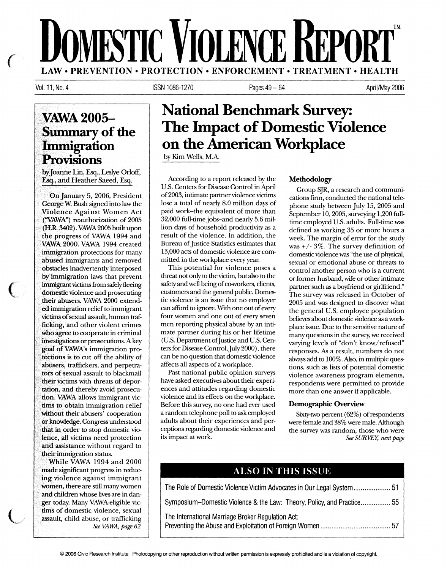# **MESTIC VIOLENCE REPORT** TM LAW• PREVENTION• PROTECTION• ENFORCEMENT• TREATMENT• HEALTH

Vol.11, No. 4

 $\mathcal{C}_{\mathcal{C}}$ 

 $\overline{C}$ 

 $\overline{\mathsf{C}}$ 

ISSN 1086-1270 Pages 49- 64 April/May 2006

## **VAWA2005- Summary of the Immigration Provisions**

byjoanne Un, Esq., Leslye Orloff, . Esq., and Heather Saeed, Esq.

On January 5, 2006, President George W. Bush signed into law the Violence Against Women Act ("VAWA'') reauthorization of 2005 (HR 3402). VAWA 2005 built upon the progress of VAWA 1994 and VAWA 2000. VAWA 1994 created immigration protections for many abused immigrants and removed obstacles inadvertently interposed by immigration laws that prevent immigrant victims from safely fleeing domestic violence and prosecuting their abusers. VAWA 2000 extended immigration relief to immigrant victims of sexual assault, human trafficking, and other violent crimes who agree to cooperate in criminal investigations or prosecutions. A key goal ofVAWA's immigration protections is to cut off the ability of abusers, traffickers, and perpetrators of sexual assault to blackmail their victims with threats of deportation, and thereby avoid prosecution. VAWA allows immigrant victims to obtain immigration relief without their abusers' cooperation or knowledge. Congress understood that in order to stop domestic violence, all victims need protection and assistance without regard to their immigration status.

While VAWA 1994 and 2000 made significant progress in reducing violence against immigrant women, there are still many women and children whose lives are in danger today. Many VAWA-eligible victims of domestic violence, sexual assault, child abuse, or trafficking *See VAWA, page 62* 

## **National Benchmark Survey: The Impact of Domestic Violence on the American Workplace**

by Kim Wells, M.A.

According to a report released by the U.S. Centers for Disease Control in April of2003, intimate partner violence victims lose a total of nearly 8.0 million days of paid work-the equivalent of more than 32,000 full-time jobs-and nearly 5.6 million days of household productivity as a result of the violence. In addition, the Bureau of Justice Statistics estimates that 13,000 acts of domestic violence are committed in the workplace every year.

This potential for violence poses a threat not only to the victim, but also to the safety and well being of co-workers, clients, customers and the general public. Domestic violence is an issue that no employer can afford to ignore. With one out of every four women and one out of every seven men reporting physical abuse by an intimate partner during his or her lifetime (U.S. Department of Justice and U.S. Centers for Disease Control, July 2000), there can be no question that domestic violence affects all aspects of a workplace.

Past national public opinion surveys have asked executives about their experiences and attitudes regarding domestic violence and its effects on the workplace. Before this survey, no one had ever used a random telephone poll to ask employed adults about their experiences and perceptions regarding domestic violence and its impact at work.

#### Methodology

Group SJR, a research and communications firm, conducted the national telephone study between July 15, 2005 and September 10, 2005, surveying 1,200 fulltime employed U.S. adults. Full-time was defined as working 35 or more hours a week. The margin of error for the study was+/- 3%. The survey definition of domestic violence was "the use of physical, sexual or emotional abuse or threats to control another person who is a current or former husband, wife or other intimate partner such as a boyfriend or girlfriend." The survey was released in October of 2005 and was designed to discover what the general U.S. employee population believes about domestic violence as a workplace issue. Due to the sensitive nature of many questions in the survey, we received varying levels of "don't know/refused" responses. As a result, numbers do not always add to 100%. Also, in multiple questions, such as lists of potential domestic violence awareness program elements, respondents were permitted to provide more than one answer if applicable.

#### Demographic Overview

Sixty-two percent (62%) of respondents were female and 38% were male. Although the survey was random, those who were *See SURVEY, next page* 

### ALSO IN THIS ISSUE

| Symposium-Domestic Violence & the Law: Theory, Policy, and Practice 55 |  |  |
|------------------------------------------------------------------------|--|--|
| The International Marriage Broker Regulation Act:                      |  |  |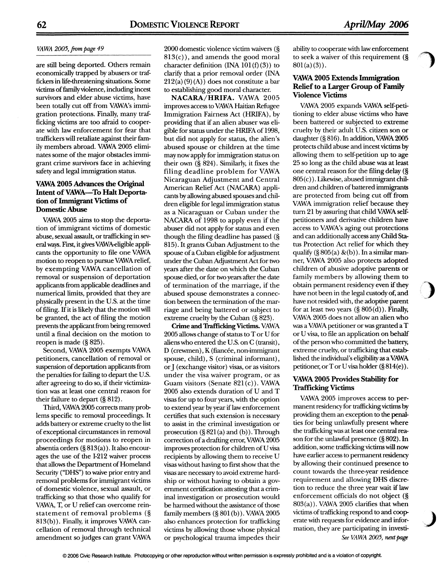#### *VAWA 2005,.frompage49*

are still being deported. Others remain economically trapped by abusers or traf:. fickers in life-threatening situations. Some victims of family violence, including incest survivors and elder abuse victims, have been totally cut off from VAWA's immigration protections. Finally, many trafficking victims are too afraid to cooperate with law enforcement for fear that traffickers will retaliate against their family members abroad. VAWA 2005 eliminates some of the major obstacles immigrant crime survivors face in achieving safety and legal immigration status.

#### VAWA 2005 Advances the Original Intent of VAWA-To Halt Deportation of Immigrant Victims of Domestic Abuse

VAWA 2005 aims to stop the deportation of immigrant victims of domestic abuse, sexual assault, or trafficking in several ways. First, it gives VAWAeligible applicants the opportunity to file one VAWA motion to reopen to pursue VAWA relief, by exempting VAWA cancellation of removal or suspension of deportation applicants from applicable deadlines and numerical limits, provided that they are physically present in the U.S. at the time of filing. If it is likely that the motion will be granted, the act of filing the motion prevents the applicant from being removed until a final decision on the motion to reopen is made (§ 825).

Second, VAWA 2005 exempts VAWA petitioners, cancellation of removal or suspension of deportation applicants from the penalties for failing to depart the U.S. after agreeing to do so, if their victimization was at least one central reason for their failure to depart (§ 812).

Third, VAWA 2005 corrects many problems specific to removal proceedings. It adds battery or extreme cruelty to the list of exceptional circumstances in removal proceedings for motions to reopen in absentia orders (§ 813(a)). It also encourages the use of the I-212 waiver process that allows the Department of Homeland Security ("DHS") to waive prior entry and removal problems for immigrant victims of domestic violence, sexual assault, or trafficking so that those who qualify for VAWA, T, or U relief can overcome reinstatement of removal problems (§ 813(b)). Finally, it improves VAWA cancellation of removal through technical amendment so judges can grant VAWA

2000 domestic violence victim waivers (§  $813(c)$ , and amends the good moral character definition  $(INA 101(f)(3))$  to clarify that a prior removal order (INA  $212(a)(9)(A)$  does not constitute a bar to establishing good moral character.

NACARA/HRIFA. VAWA 2005 improves access to VAWA Haitian Refugee Immigration Fairness Act (HRIFA), by providing that if an alien abuser was eligible for status under the HRIFA of 1998, but did not apply for status, the alien's abused spouse or children at the time may now apply for immigration status on their own (§ 824). Similarly, it fixes the filing deadline problem for VAWA Nicaraguan Adjustment and Central American Relief Act (NACARA) applicants by allowing abused spouses and children eligible for legal immigration status as a Nicaraguan or Cuban under the NACARA of 1998 to apply even if the abuser did not apply for status and even though the filing deadline has passed (§ 815). It grants Cuban Adjustment to the spouse of a Cuban eligible for adjustment under the Cuban Adjustment Act for two years after the date on which the Cuban spouse died, or for two years after the date of termination of the marriage, if the abused spouse demonstrates a connection between the termination of the marriage and being battered or subject to extreme cruelty by the Cuban (§ 823).

Crime and Trafficking Victims. VAWA 2005 allows change of status to Tor U for aliens who entered the U.S. on C (transit), D (crewmen), K (fiancée, non-immigrant spouse, child), S (criminal informant), *or]* (exchange visitor) visas, or as visitors under the visa waiver program, or as Guam visitors (Senate  $821(c)$ ). VAWA 2005 also extends duration of U and T visas for up to four years, with the option to extend year by year if law enforcement certifies that such extension is necessary to assist in the criminal investigation or prosecution  $(\S 821(a)$  and  $(b)$ ). Through correction of a drafting error, VAWA 2005 improves protection for children of U visa recipients by allowing them to receive U visas without having to first show that the visas are necessary to avoid extreme hardship or without having to obtain a government certification attesting that a criminal investigation or prosecution would be harmed without the assistance of those family members(§ 801 (b) ). VAWA 2005 also enhances protection for trafficking victims by allowing those whose physical or psychological trauma impedes their

ability to cooperate with law enforcement to seek a waiver of this requirement (§  $801(a)(3)$ .

#### VAWA 2005 Extends Immigration Relief to a Larger Group of Family Violence Victims

VAWA 2005 expands VAWA self-petitioning to elder abuse victims who have been battered or subjected to extreme cruelty by their adult U.S. citizen son or daughter (§816). In addition, VAWA2005 protects child abuse and incest victims by allowing them to self-petition up to age 25 so long as the child abuse was at least one central reason for the filing delay (§ 805(c) ). Likewise, abused immigrant children and children of battered immigrants are protected from being cut off from VAWA immigration relief because they turn 21 by assuring that child VAWA selfpetitioners and derivative children have access to VAWA's aging out protections and can additionally access any Child Status Protection Act relief for which they qualify  $(\S 805(a) \& (b))$ . In a similar manner, VAWA 2005 also protects adopted children of abusive adoptive parents or family members by allowing them to obtain permanent residency even if they have not been in the legal custody of, and have not resided with, the adoptive parent for at least two years  $(\S 805(d))$ . Finally, VAWA 2005 does not allow an alien who was a VAWA petitioner or was granted a T or U visa, to file an application on behalf of the person who committed the battery, extreme cruelty, or trafficking that established the individual's eligibility as a VAWA petitioner, or T or U visa holder  $(\S 814(e))$ .

 $\blacksquare$ 

.J

#### VAWA 2005 Provides Stability for Trafficking Victims

VAWA 2005 improves access to permanent residency for trafficking victims by providing them an exception to the penalties for being unlawfully present where the trafficking was at least one central reason for the unlawful presence (§ 802). In addition, some trafficking victims will now have earlier access to permanent residency by allowing their continued presence to count towards the three-year residence requirement and allowing DHS discretion to reduce the three year wait if law enforcement officials do not object (§ 803(a)). VAWA 2005 clarifies that when victims of trafficking respond to and cooperate with requests for evidence and information, they are participating in investi-*See VAWA 2005, next* page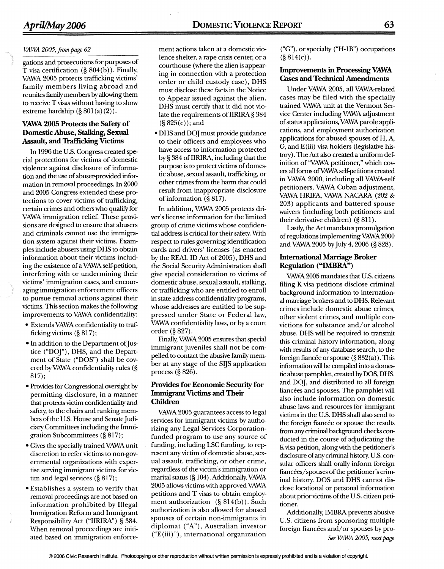#### *VAWA 2005,* from *page 62*

gations and prosecutions for purposes of T visa certification (§ 804(b)). Finally, VAWA 2005 protects trafficking victims' family members living abroad and reunites family members by allowing them to receive T visas without having to show extreme hardship  $(\S 801(a)(2))$ .

#### **VAWA 2005 Protects the Safety of Domestic Abuse, Stalking, Sexual Assault, and Trafficking Victims**

In 1996 the U.S. Congress created special protections for victims of domestic violence against disclosure of information and the use of abuser-provided information in removal proceedings. In 2000 and 2005 Congress extended these protections to cover victims of trafficking, certain crimes and others who qualify for VAWA immigration relief. These provisions are designed to ensure that abusers and criminals cannot use the immigration system against their victims. Examples include abusers using DHS to obtain information about their victims including the existence of a VAWA self-petition, interfering with or undermining their victims' immigration cases, and encouraging immigration enforcement officers to pursue removal actions against their victims. This section makes the following improvements to VAWA confidentiality:

- Extends VAWA confidentiality to trafficking victims (§ 817);
- In addition to the Department of Justice ("DOJ"), DHS, and the Department of State ("DOS") shall be covered by VAWA confidentiality rules (§ 817);
- Provides for Congressional oversight by permitting disclosure, in a manner that protects victim confidentiality and safety, to the chairs and ranking members of the U.S. House and Senate Judiciary Committees including the Immigration Subcommittees(§ 817);
- •Gives the specially trained VAWA unit discretion to refer victims to non-governmental organizations with expertise serving immigrant victims for victim and legal services (§ 817);
- •Establishes a system to verify that removal proceedings are not based on information prohibited by Illegal Immigration Reform and Immigrant Responsibility Act ("IIRIRA") § 384. When removal proceedings are initiated based on immigration enforce-

ment actions taken at a domestic violence shelter, a rape crisis center, or a courthouse (where the alien is appearing in connection with a protection order or child custody case), DHS must disclose these facts in the Notice to Appear issued against the alien. DHS must certify that it did not violate the requirements of IIRIRA § 384

• DHS and DOJ must provide guidance to their officers and employees who have access to information protected by § 384 of IIRIRA, including that the purpose is to protect victims of domestic abuse, sexual assault, trafficking, or other crimes from the harm that could result from inappropriate disclosure

In addition, VAWA 2005 protects driver's license information for the limited group of crime victims whose confidential address is critical for their safety. With respect to rules governing identification cards and drivers' licenses (as enacted by the REAL ID Act of 2005), DHS and the Social Security Administration shall give special consideration to victims of domestic abuse, sexual assault, stalking, or trafficking who are entitled to enroll in state address confidentiality programs, whose addresses are entitled to be suppressed under State or Federal law, VAWA confidentiality laws, or by a court

Finally, VAWA 2005 ensures that special immigrant juveniles shall not be compelled to contact the abusive family member at any stage of the SijS application

**Provides for Economic Security for Immigrant Victims and Their** 

VAWA 2005 guarantees access to legal services for immigrant victims by authorizing any Legal Services Corporationfunded program to use any source of funding, including LSC funding, to represent any victim of domestic abuse, sexual assault, trafficking, or other crime, regardless of the victim's immigration or marital status  $(\S 104)$ . Additionally, VAWA 2005 allows victims with approved VAWA petitions and T visas to obtain employment authorization (§ 814(b)). Such authorization is also allowed for abused spouses of certain non-immigrants in diplomat ("A"), Australian investor ("E (iii)"), international organization

(§ 825(c)); and

of information(§ 817).

order (§ 827).

process (§ 826).

**Children** 

("G"), or specialty ("H-lB") occupations  $(\S 814(c))$ .

#### **Improvements in Processing VAWA Cases and Technical Amendments**

Under VAWA 2005, all VAWA-related cases may be filed with the specially trained VAWA unit at the Vermont Service Center including VAWA adjustment of status applications, VAWA parole applications, and employment authorization applications for abused spouses of H, A, G, and E(iii) visa holders (legislative history). The Act also created a uniform definition of''VAWA petitioner," which covers all forms of VAWA self-petitions created in VAWA 2000, including all VAWA-self petitioners, VAWA Cuban adjustment, VAWA HRIFA, VAWA NACARA (202 & 203) applicants and battered spouse waivers (including both petitioners and their derivative children) (§ 811).

Lastly, the Act mandates promulgation of regulations implementing VAWA 2000 and VAWA 2005 by July 4, 2006 (§ 828).

#### **International Marriage Broker Regulation ("IMBRA")**

VAWA 2005 mandates that U.S. citizens filing K visa petitions disclose criminal background information to international marriage brokers and to DHS. Relevant crimes include domestic abuse crimes, other violent crimes, and multiple convictions for substance and/ or alcohol abuse. DHS will be required to transmit this criminal history information, along with results of any database search, to the foreign fiancée or spouse (§ 832(a)). This information will be compiled into a domestic abuse pamphlet, created by DOS, DHS, and DOJ, and distributed to all foreign fiances and spouses. The pamphlet will also include information on domestic abuse laws and resources for immigrant victims in the U.S. DHS shall also send to the foreign fiancée or spouse the results from any criminal background checks conducted in the course of adjudicating the K visa petition, along with the petitioner's disclosure of any criminal history. U.S. consular officers shall orally inform foreign fiancées/ spouses of the petitioner's criminal history. DOS and DHS cannot disclose locational or personal information about prior victims of the U.S. citizen petitioner.

Additionally, IMBRA prevents abusive U.S. citizens from sponsoring multiple foreign fiancees and/or spouses by pro-*See VAWA 2005, next page*